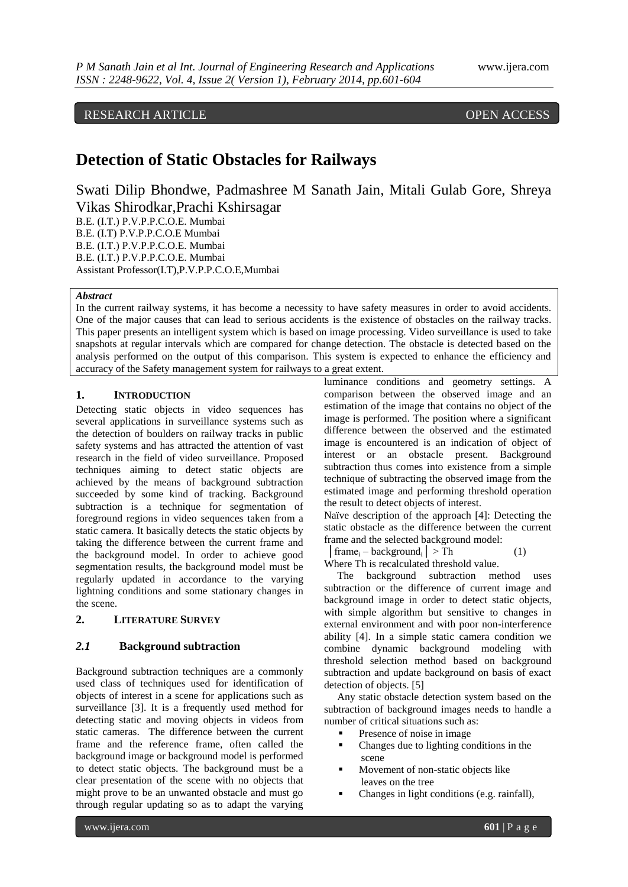# RESEARCH ARTICLE OPEN ACCESS

# **Detection of Static Obstacles for Railways**

Swati Dilip Bhondwe, Padmashree M Sanath Jain, Mitali Gulab Gore, Shreya Vikas Shirodkar,Prachi Kshirsagar B.E. (I.T.) P.V.P.P.C.O.E. Mumbai

B.E. (I.T) P.V.P.P.C.O.E Mumbai B.E. (I.T.) P.V.P.P.C.O.E. Mumbai B.E. (I.T.) P.V.P.P.C.O.E. Mumbai Assistant Professor(I.T),P.V.P.P.C.O.E,Mumbai

## *Abstract*

In the current railway systems, it has become a necessity to have safety measures in order to avoid accidents. One of the major causes that can lead to serious accidents is the existence of obstacles on the railway tracks. This paper presents an intelligent system which is based on image processing. Video surveillance is used to take snapshots at regular intervals which are compared for change detection. The obstacle is detected based on the analysis performed on the output of this comparison. This system is expected to enhance the efficiency and accuracy of the Safety management system for railways to a great extent.

#### **1. INTRODUCTION**

Detecting static objects in video sequences has several applications in surveillance systems such as the detection of boulders on railway tracks in public safety systems and has attracted the attention of vast research in the field of video surveillance. Proposed techniques aiming to detect static objects are achieved by the means of background subtraction succeeded by some kind of tracking. Background subtraction is a technique for segmentation of foreground regions in video sequences taken from a static camera. It basically detects the static objects by taking the difference between the current frame and the background model. In order to achieve good segmentation results, the background model must be regularly updated in accordance to the varying lightning conditions and some stationary changes in the scene.

# **2. LITERATURE SURVEY**

#### *2.1* **Background subtraction**

Background subtraction techniques are a commonly used class of techniques used for identification of objects of interest in a scene for applications such as surveillance [3]. It is a frequently used method for detecting static and moving objects in videos from static cameras. The difference between the current frame and the reference frame, often called the background image or background model is performed to detect static objects. The background must be a clear presentation of the scene with no objects that might prove to be an unwanted obstacle and must go through regular updating so as to adapt the varying

luminance conditions and geometry settings. A comparison between the observed image and an estimation of the image that contains no object of the image is performed. The position where a significant difference between the observed and the estimated image is encountered is an indication of object of interest or an obstacle present. Background subtraction thus comes into existence from a simple technique of subtracting the observed image from the estimated image and performing threshold operation the result to detect objects of interest.

Naïve description of the approach [4]: Detecting the static obstacle as the difference between the current frame and the selected background model:

 $\vert$  frame<sub>i</sub> – background<sub>i</sub>  $\vert$  > Th (1)

Where Th is recalculated threshold value.

 The background subtraction method uses subtraction or the difference of current image and background image in order to detect static objects, with simple algorithm but sensitive to changes in external environment and with poor non-interference ability [4]. In a simple static camera condition we combine dynamic background modeling with threshold selection method based on background subtraction and update background on basis of exact detection of objects. [5]

 Any static obstacle detection system based on the subtraction of background images needs to handle a number of critical situations such as:

- **Presence of noise in image**
- Changes due to lighting conditions in the scene
- Movement of non-static objects like leaves on the tree
- Changes in light conditions (e.g. rainfall),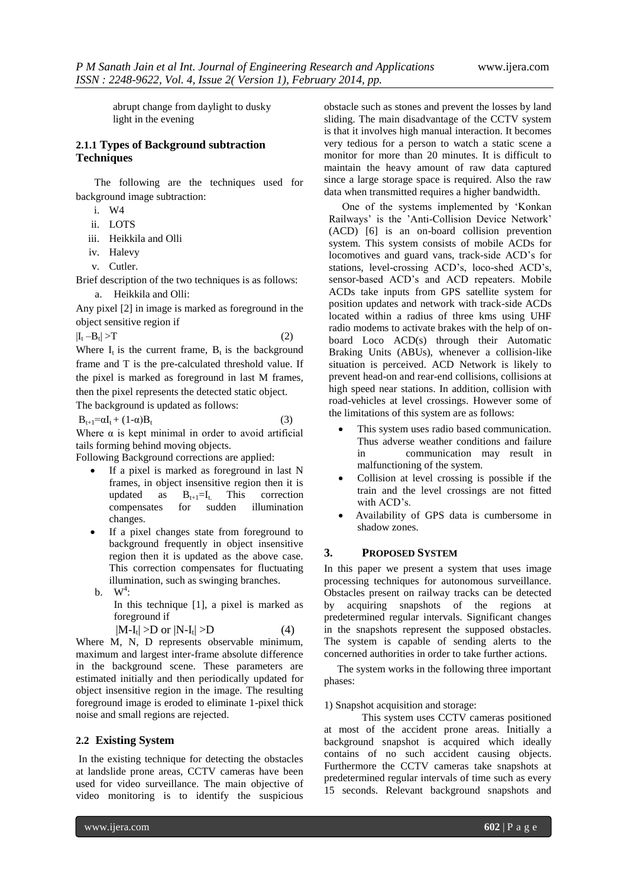abrupt change from daylight to dusky light in the evening

# **2.1.1 Types of Background subtraction Techniques**

 The following are the techniques used for background image subtraction:

- i. W4
- ii. LOTS
- iii. Heikkila and Olli
- iv. Halevy
- v. Cutler.

Brief description of the two techniques is as follows: a. Heikkila and Olli:

Any pixel [2] in image is marked as foreground in the object sensitive region if

$$
|I_t - B_t| > T \tag{2}
$$

Where  $I_t$  is the current frame,  $B_t$  is the background frame and T is the pre-calculated threshold value. If the pixel is marked as foreground in last M frames, then the pixel represents the detected static object. The background is updated as follows:

$$
B_{t+1} = \alpha I_t + (1 - \alpha) B_t \tag{3}
$$

Where  $\alpha$  is kept minimal in order to avoid artificial tails forming behind moving objects.

Following Background corrections are applied:

- If a pixel is marked as foreground in last N frames, in object insensitive region then it is updated as  $B_{t+1}=I_t$ . This correction compensates for sudden illumination changes.
- If a pixel changes state from foreground to background frequently in object insensitive region then it is updated as the above case. This correction compensates for fluctuating illumination, such as swinging branches. b.  $W^4$ :
	- In this technique [1], a pixel is marked as foreground if

 $(4)$ 

$$
|M\text{-}I_t|>\!\!D\text{ or }|N\text{-}I_t|>\!\!D
$$

Where M, N, D represents observable minimum, maximum and largest inter-frame absolute difference in the background scene. These parameters are estimated initially and then periodically updated for object insensitive region in the image. The resulting foreground image is eroded to eliminate 1-pixel thick noise and small regions are rejected.

#### **2.2 Existing System**

In the existing technique for detecting the obstacles at landslide prone areas, CCTV cameras have been used for video surveillance. The main objective of video monitoring is to identify the suspicious

obstacle such as stones and prevent the losses by land sliding. The main disadvantage of the CCTV system is that it involves high manual interaction. It becomes very tedious for a person to watch a static scene a monitor for more than 20 minutes. It is difficult to maintain the heavy amount of raw data captured since a large storage space is required. Also the raw data when transmitted requires a higher bandwidth.

 One of the systems implemented by "Konkan Railways" is the "Anti-Collision Device Network" (ACD) [6] is an on-board collision prevention system. This system consists of mobile ACDs for locomotives and guard vans, track-side ACD"s for stations, level-crossing ACD"s, loco-shed ACD"s, sensor-based ACD"s and ACD repeaters. Mobile ACDs take inputs from GPS satellite system for position updates and network with track-side ACDs located within a radius of three kms using UHF radio modems to activate brakes with the help of onboard Loco ACD(s) through their Automatic Braking Units (ABUs), whenever a collision-like situation is perceived. ACD Network is likely to prevent head-on and rear-end collisions, collisions at high speed near stations. In addition, collision with road-vehicles at level crossings. However some of the limitations of this system are as follows:

- This system uses radio based communication. Thus adverse weather conditions and failure in communication may result in malfunctioning of the system.
- Collision at level crossing is possible if the train and the level crossings are not fitted with ACD's.
- Availability of GPS data is cumbersome in shadow zones.

#### **3. PROPOSED SYSTEM**

In this paper we present a system that uses image processing techniques for autonomous surveillance. Obstacles present on railway tracks can be detected by acquiring snapshots of the regions at predetermined regular intervals. Significant changes in the snapshots represent the supposed obstacles. The system is capable of sending alerts to the concerned authorities in order to take further actions.

 The system works in the following three important phases:

1) Snapshot acquisition and storage:

This system uses CCTV cameras positioned at most of the accident prone areas. Initially a background snapshot is acquired which ideally contains of no such accident causing objects. Furthermore the CCTV cameras take snapshots at predetermined regular intervals of time such as every 15 seconds. Relevant background snapshots and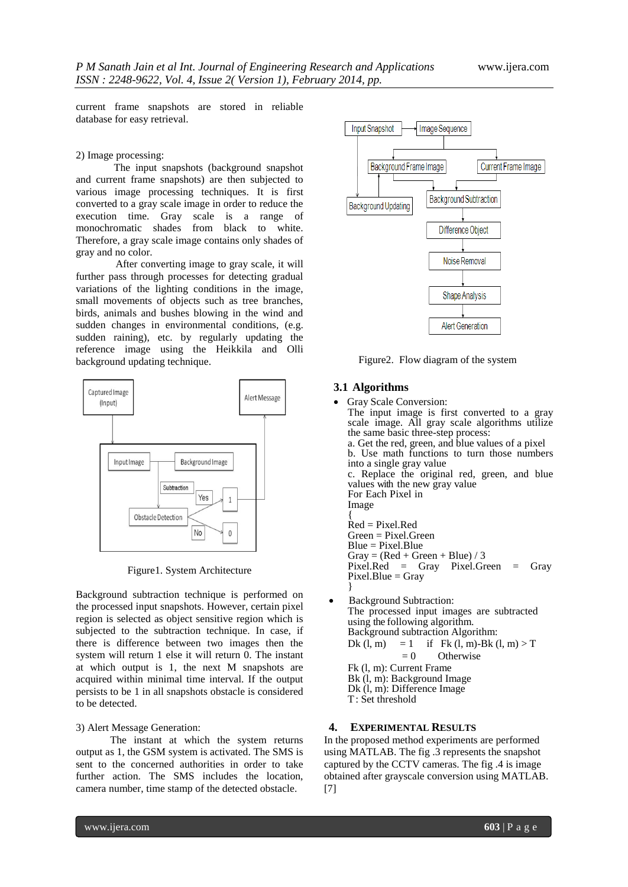current frame snapshots are stored in reliable database for easy retrieval.

#### 2) Image processing:

The input snapshots (background snapshot and current frame snapshots) are then subjected to various image processing techniques. It is first converted to a gray scale image in order to reduce the execution time. Gray scale is a range of monochromatic shades from black to white. Therefore, a gray scale image contains only shades of gray and no color.

 After converting image to gray scale, it will further pass through processes for detecting gradual variations of the lighting conditions in the image, small movements of objects such as tree branches, birds, animals and bushes blowing in the wind and sudden changes in environmental conditions, (e.g. sudden raining), etc. by regularly updating the reference image using the Heikkila and Olli background updating technique.



Figure1. System Architecture

Background subtraction technique is performed on the processed input snapshots. However, certain pixel region is selected as object sensitive region which is subjected to the subtraction technique. In case, if there is difference between two images then the system will return 1 else it will return 0. The instant at which output is 1, the next M snapshots are acquired within minimal time interval. If the output persists to be 1 in all snapshots obstacle is considered to be detected.

#### 3) Alert Message Generation:

 The instant at which the system returns output as 1, the GSM system is activated. The SMS is sent to the concerned authorities in order to take further action. The SMS includes the location, camera number, time stamp of the detected obstacle.



Figure2. Flow diagram of the system

#### **3.1 Algorithms**

- Gray Scale Conversion: The input image is first converted to a gray scale image. All gray scale algorithms utilize the same basic three-step process: a. Get the red, green, and blue values of a pixel b. Use math functions to turn those numbers into a single gray value c. Replace the original red, green, and blue values with the new gray value For Each Pixel in Image { Red = Pixel.Red Green = Pixel.Green Blue = Pixel.Blue  $Gray = (Red + Green + Blue) / 3$ Pixel.Red = Gray Pixel.Green = Gray  $Pixel.Blue = Gray$ } Background Subtraction: The processed input images are subtracted using the following algorithm. Background subtraction Algorithm: Dk (l, m) = 1 if Fk (l, m)-Bk (l, m) > T  $= 0$  Otherwise Fk (l, m): Current Frame Bk (l, m): Background Image Dk (l, m): Difference Image
	- T: Set threshold

#### **4. EXPERIMENTAL RESULTS**

In the proposed method experiments are performed using MATLAB. The fig .3 represents the snapshot captured by the CCTV cameras. The fig .4 is image obtained after grayscale conversion using MATLAB. [7]